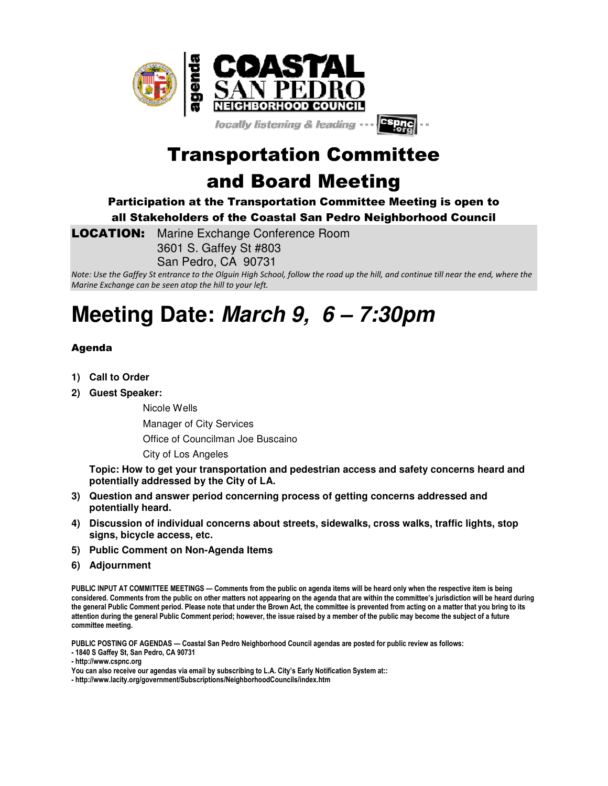

Transportation Committee and Board Meeting

Participation at the Transportation Committee Meeting is open to all Stakeholders of the Coastal San Pedro Neighborhood Council

**LOCATION:** Marine Exchange Conference Room 3601 S. Gaffey St #803 San Pedro, CA 90731

*Note: Use the Gaffey St entrance to the Olguin High School, follow the road up the hill, and continue till near the end, where the Marine Exchange can be seen atop the hill to your left.*

## **Meeting Date: March 9, 6 – 7:30pm**

## Agenda

- **1) Call to Order**
- **2) Guest Speaker:**

Nicole Wells

Manager of City Services

Office of Councilman Joe Buscaino

City of Los Angeles

**Topic: How to get your transportation and pedestrian access and safety concerns heard and potentially addressed by the City of LA.** 

- **3) Question and answer period concerning process of getting concerns addressed and potentially heard.**
- **4) Discussion of individual concerns about streets, sidewalks, cross walks, traffic lights, stop signs, bicycle access, etc.**
- **5) Public Comment on Non-Agenda Items**
- **6) Adjournment**

**PUBLIC INPUT AT COMMITTEE MEETINGS — Comments from the public on agenda items will be heard only when the respective item is being considered. Comments from the public on other matters not appearing on the agenda that are within the committee's jurisdiction will be heard during the general Public Comment period. Please note that under the Brown Act, the committee is prevented from acting on a matter that you bring to its attention during the general Public Comment period; however, the issue raised by a member of the public may become the subject of a future committee meeting.** 

**PUBLIC POSTING OF AGENDAS — Coastal San Pedro Neighborhood Council agendas are posted for public review as follows:** 

**- 1840 S Gaffey St, San Pedro, CA 90731 - http://www.cspnc.org** 

**You can also receive our agendas via email by subscribing to L.A. City's Early Notification System at::** 

**- http://www.lacity.org/government/Subscriptions/NeighborhoodCouncils/index.htm**